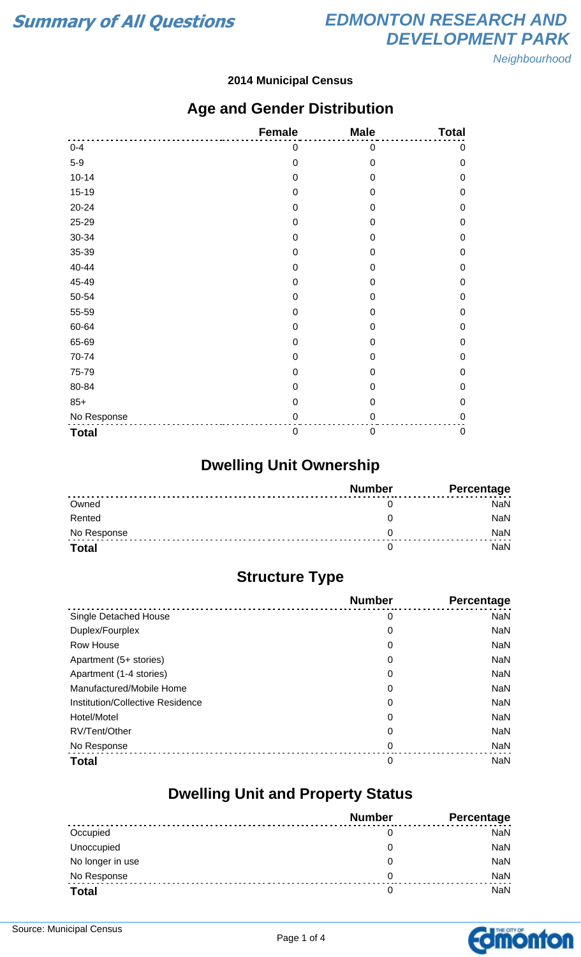**Neighbourhood** 

#### **2014 Municipal Census**

### **Age and Gender Distribution**

|              | <b>Female</b>    | <b>Male</b> | <b>Total</b>     |
|--------------|------------------|-------------|------------------|
| $0 - 4$      | 0                | 0           | 0                |
| $5-9$        | $\mathbf 0$      | $\mathbf 0$ | $\mathbf 0$      |
| $10 - 14$    | $\mathbf 0$      | $\mathbf 0$ | $\mathbf 0$      |
| $15 - 19$    | 0                | 0           | 0                |
| 20-24        | $\mathbf 0$      | $\mathbf 0$ | $\mathbf 0$      |
| 25-29        | 0                | $\mathbf 0$ | $\mathbf 0$      |
| 30-34        | $\mathbf 0$      | 0           | $\mathbf 0$      |
| 35-39        | $\mathbf 0$      | $\mathbf 0$ | $\mathbf 0$      |
| 40-44        | 0                | 0           | $\mathbf 0$      |
| 45-49        | 0                | $\mathbf 0$ | $\boldsymbol{0}$ |
| 50-54        | $\mathbf 0$      | $\mathbf 0$ | $\mathbf 0$      |
| 55-59        | $\mathbf 0$      | $\mathbf 0$ | $\mathbf 0$      |
| 60-64        | 0                | 0           | $\mathbf 0$      |
| 65-69        | $\mathbf 0$      | $\mathbf 0$ | $\boldsymbol{0}$ |
| 70-74        | $\mathbf 0$      | $\mathbf 0$ | 0                |
| 75-79        | $\mathbf 0$      | 0           | $\mathbf 0$      |
| 80-84        | 0                | 0           | 0                |
| $85+$        | $\mathbf 0$      | $\mathbf 0$ | $\mathbf 0$      |
| No Response  | 0                | 0           | $\mathbf 0$      |
| <b>Total</b> | $\boldsymbol{0}$ | $\mathbf 0$ | $\pmb{0}$        |

### **Dwelling Unit Ownership**

|              | <b>Number</b> | Percentage |
|--------------|---------------|------------|
| Owned        |               | NaN        |
| Rented       |               | <b>NaN</b> |
| No Response  |               | NaN        |
| <b>Total</b> |               | NaN        |

### **Structure Type**

|                                  | <b>Number</b> | Percentage |
|----------------------------------|---------------|------------|
| Single Detached House            | 0             | <b>NaN</b> |
| Duplex/Fourplex                  | 0             | <b>NaN</b> |
| <b>Row House</b>                 | 0             | <b>NaN</b> |
| Apartment (5+ stories)           | 0             | <b>NaN</b> |
| Apartment (1-4 stories)          | 0             | <b>NaN</b> |
| Manufactured/Mobile Home         | 0             | <b>NaN</b> |
| Institution/Collective Residence | 0             | <b>NaN</b> |
| Hotel/Motel                      | 0             | <b>NaN</b> |
| RV/Tent/Other                    | 0             | <b>NaN</b> |
| No Response                      | 0             | <b>NaN</b> |
| <b>Total</b>                     | 0             | <b>NaN</b> |

### **Dwelling Unit and Property Status**

|                  | <b>Number</b> | <b>Percentage</b> |
|------------------|---------------|-------------------|
| Occupied         | 0             | <b>NaN</b>        |
| Unoccupied       | 0             | <b>NaN</b>        |
| No longer in use | O             | <b>NaN</b>        |
| No Response      | 0             | <b>NaN</b>        |
| <b>Total</b>     |               | <b>NaN</b>        |

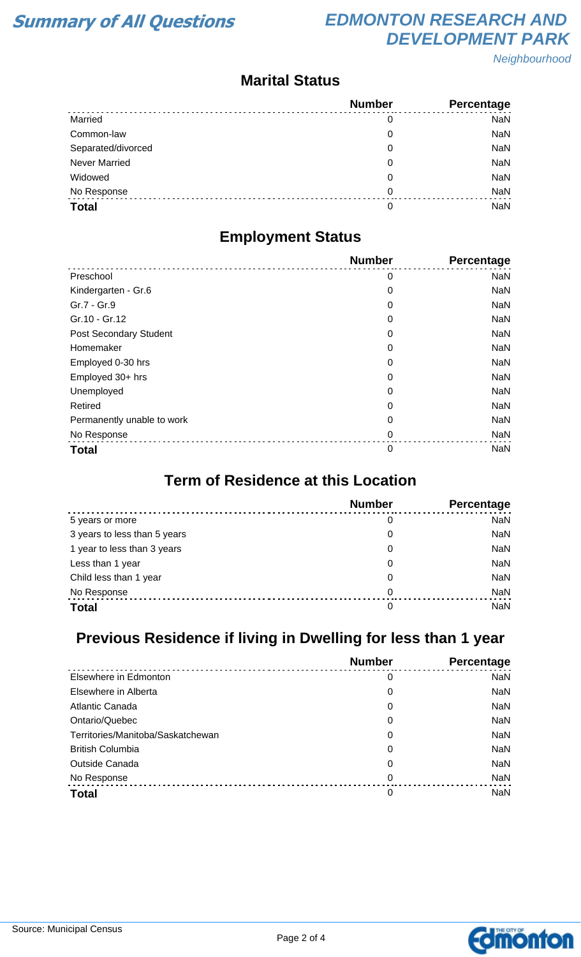# **Summary of All Questions EDMONTON RESEARCH AND DEVELOPMENT PARK**

Neighbourhood

#### **Marital Status**

|                      | <b>Number</b> | Percentage |
|----------------------|---------------|------------|
| Married              | 0             | <b>NaN</b> |
| Common-law           | 0             | <b>NaN</b> |
| Separated/divorced   | 0             | <b>NaN</b> |
| <b>Never Married</b> | 0             | <b>NaN</b> |
| Widowed              | 0             | <b>NaN</b> |
| No Response          | 0             | <b>NaN</b> |
| <b>Total</b>         | 0             | <b>NaN</b> |

### **Employment Status**

|                            | <b>Number</b> | <b>Percentage</b> |
|----------------------------|---------------|-------------------|
| Preschool                  | 0             | <b>NaN</b>        |
| Kindergarten - Gr.6        | 0             | <b>NaN</b>        |
| Gr.7 - Gr.9                | 0             | <b>NaN</b>        |
| Gr.10 - Gr.12              | 0             | <b>NaN</b>        |
| Post Secondary Student     | 0             | <b>NaN</b>        |
| Homemaker                  | 0             | <b>NaN</b>        |
| Employed 0-30 hrs          | 0             | <b>NaN</b>        |
| Employed 30+ hrs           | 0             | <b>NaN</b>        |
| Unemployed                 | 0             | <b>NaN</b>        |
| Retired                    | 0             | <b>NaN</b>        |
| Permanently unable to work | 0             | <b>NaN</b>        |
| No Response                | 0             | <b>NaN</b>        |
| <b>Total</b>               | 0             | <b>NaN</b>        |

#### **Term of Residence at this Location**

|                              | <b>Number</b> | Percentage |
|------------------------------|---------------|------------|
| 5 years or more              | 0             | <b>NaN</b> |
| 3 years to less than 5 years | 0             | <b>NaN</b> |
| 1 year to less than 3 years  | 0             | <b>NaN</b> |
| Less than 1 year             | 0             | <b>NaN</b> |
| Child less than 1 year       | 0             | <b>NaN</b> |
| No Response                  | 0             | <b>NaN</b> |
| <b>Total</b>                 | 0             | <b>NaN</b> |

# **Previous Residence if living in Dwelling for less than 1 year**

|                                   | <b>Number</b> | Percentage |
|-----------------------------------|---------------|------------|
| Elsewhere in Edmonton             | 0             | <b>NaN</b> |
| Elsewhere in Alberta              | 0             | <b>NaN</b> |
| Atlantic Canada                   | 0             | <b>NaN</b> |
| Ontario/Quebec                    | 0             | <b>NaN</b> |
| Territories/Manitoba/Saskatchewan | 0             | <b>NaN</b> |
| <b>British Columbia</b>           | 0             | <b>NaN</b> |
| <b>Outside Canada</b>             | 0             | <b>NaN</b> |
| No Response                       | 0             | <b>NaN</b> |
| <b>Total</b>                      | 0             | <b>NaN</b> |

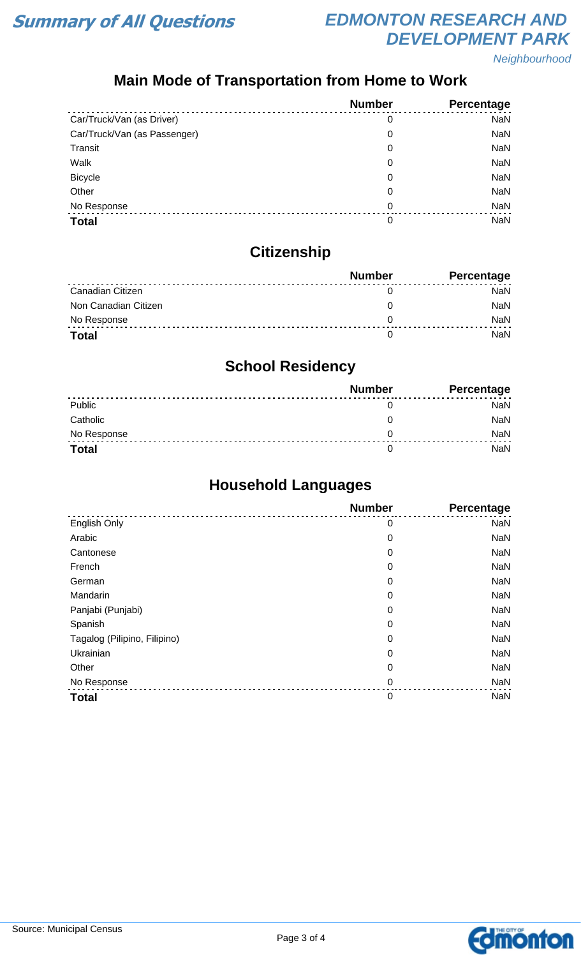

# **Summary of All Questions EDMONTON RESEARCH AND DEVELOPMENT PARK**

Neighbourhood

# **Main Mode of Transportation from Home to Work**

|                              | <b>Number</b> | Percentage |
|------------------------------|---------------|------------|
| Car/Truck/Van (as Driver)    | 0             | <b>NaN</b> |
| Car/Truck/Van (as Passenger) | 0             | <b>NaN</b> |
| Transit                      | 0             | <b>NaN</b> |
| Walk                         | 0             | <b>NaN</b> |
| <b>Bicycle</b>               | 0             | <b>NaN</b> |
| Other                        | 0             | <b>NaN</b> |
| No Response                  | $\Omega$      | <b>NaN</b> |
| <b>Total</b>                 | 0             | NaN        |

# **Citizenship**

|                      | <b>Number</b> | <b>Percentage</b> |
|----------------------|---------------|-------------------|
| Canadian Citizen     |               | NaN               |
| Non Canadian Citizen |               | <b>NaN</b>        |
| No Response          |               | <b>NaN</b>        |
| <b>Total</b>         |               | NaN               |

### **School Residency**

|              | <b>Number</b> | <b>Percentage</b> |
|--------------|---------------|-------------------|
| Public       |               | NaN               |
| Catholic     |               | NaN               |
| No Response  |               | <b>NaN</b>        |
| <b>Total</b> |               | NaN               |

## **Household Languages**

|                              | <b>Number</b> | Percentage |
|------------------------------|---------------|------------|
| English Only                 | 0             | <b>NaN</b> |
| Arabic                       | 0             | <b>NaN</b> |
| Cantonese                    | 0             | <b>NaN</b> |
| French                       | 0             | <b>NaN</b> |
| German                       | 0             | <b>NaN</b> |
| Mandarin                     | 0             | <b>NaN</b> |
| Panjabi (Punjabi)            | 0             | <b>NaN</b> |
| Spanish                      | 0             | <b>NaN</b> |
| Tagalog (Pilipino, Filipino) | 0             | <b>NaN</b> |
| Ukrainian                    | 0             | <b>NaN</b> |
| Other                        | 0             | <b>NaN</b> |
| No Response                  | $\mathbf 0$   | <b>NaN</b> |
| <b>Total</b>                 | $\mathbf 0$   | <b>NaN</b> |